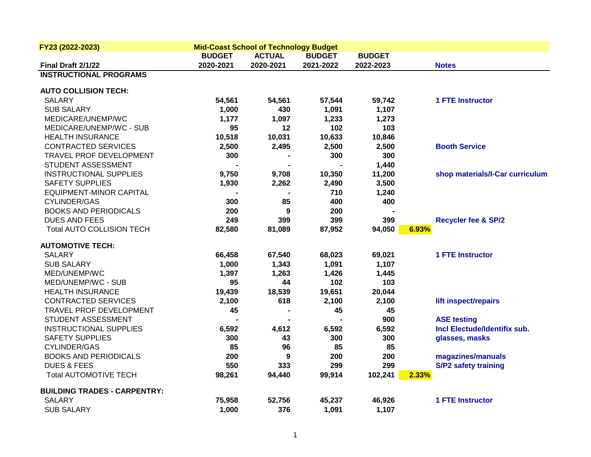| FY23 (2022-2023)                    |               | <b>Mid-Coast School of Technology Budget</b> |               |               |                                 |
|-------------------------------------|---------------|----------------------------------------------|---------------|---------------|---------------------------------|
|                                     | <b>BUDGET</b> | <b>ACTUAL</b>                                | <b>BUDGET</b> | <b>BUDGET</b> |                                 |
| Final Draft 2/1/22                  | 2020-2021     | 2020-2021                                    | 2021-2022     | 2022-2023     | <b>Notes</b>                    |
| <b>INSTRUCTIONAL PROGRAMS</b>       |               |                                              |               |               |                                 |
| <b>AUTO COLLISION TECH:</b>         |               |                                              |               |               |                                 |
| <b>SALARY</b>                       | 54,561        | 54,561                                       | 57,544        | 59,742        | <b>1 FTE Instructor</b>         |
| <b>SUB SALARY</b>                   | 1,000         | 430                                          | 1,091         | 1,107         |                                 |
| MEDICARE/UNEMP/WC                   | 1,177         | 1,097                                        | 1,233         | 1,273         |                                 |
| MEDICARE/UNEMP/WC - SUB             | 95            | 12                                           | 102           | 103           |                                 |
| <b>HEALTH INSURANCE</b>             | 10,518        | 10,031                                       | 10,633        | 10,846        |                                 |
| <b>CONTRACTED SERVICES</b>          | 2,500         | 2,495                                        | 2,500         | 2,500         | <b>Booth Service</b>            |
| TRAVEL PROF DEVELOPMENT             | 300           |                                              | 300           | 300           |                                 |
| STUDENT ASSESSMENT                  |               |                                              |               | 1,440         |                                 |
| <b>INSTRUCTIONAL SUPPLIES</b>       | 9,750         | 9,708                                        | 10,350        | 11,200        | shop materials/I-Car curriculum |
| <b>SAFETY SUPPLIES</b>              | 1,930         | 2,262                                        | 2,490         | 3,500         |                                 |
| <b>EQUIPMENT-MINOR CAPITAL</b>      |               |                                              | 710           | 1,240         |                                 |
| CYLINDER/GAS                        | 300           | 85                                           | 400           | 400           |                                 |
| <b>BOOKS AND PERIODICALS</b>        | 200           | 9                                            | 200           |               |                                 |
| <b>DUES AND FEES</b>                | 249           | 399                                          | 399           | 399           | <b>Recycler fee &amp; SP/2</b>  |
| Total AUTO COLLISION TECH           | 82,580        | 81,089                                       | 87,952        | 94,050        | 6.93%                           |
| <b>AUTOMOTIVE TECH:</b>             |               |                                              |               |               |                                 |
| <b>SALARY</b>                       | 66,458        | 67,540                                       | 68,023        | 69,021        | <b>1 FTE Instructor</b>         |
| <b>SUB SALARY</b>                   | 1,000         | 1,343                                        | 1,091         | 1,107         |                                 |
| MED/UNEMP/WC                        | 1,397         | 1,263                                        | 1,426         | 1,445         |                                 |
| MED/UNEMP/WC - SUB                  | 95            | 44                                           | 102           | 103           |                                 |
| <b>HEALTH INSURANCE</b>             | 19,439        | 18,539                                       | 19,651        | 20,044        |                                 |
| <b>CONTRACTED SERVICES</b>          | 2,100         | 618                                          | 2,100         | 2,100         | lift inspect/repairs            |
| TRAVEL PROF DEVELOPMENT             | 45            |                                              | 45            | 45            |                                 |
| STUDENT ASSESSMENT                  |               |                                              |               | 900           | <b>ASE testing</b>              |
| <b>INSTRUCTIONAL SUPPLIES</b>       | 6,592         | 4,612                                        | 6,592         | 6,592         | Incl Electude/Identifix sub.    |
| <b>SAFETY SUPPLIES</b>              | 300           | 43                                           | 300           | 300           | glasses, masks                  |
| CYLINDER/GAS                        | 85            | 96                                           | 85            | 85            |                                 |
| <b>BOOKS AND PERIODICALS</b>        | 200           | 9                                            | 200           | 200           | magazines/manuals               |
| <b>DUES &amp; FEES</b>              | 550           | 333                                          | 299           | 299           | <b>S/P2 safety training</b>     |
| <b>Total AUTOMOTIVE TECH</b>        | 98,261        | 94,440                                       | 99,914        | 102,241       | 2.33%                           |
| <b>BUILDING TRADES - CARPENTRY:</b> |               |                                              |               |               |                                 |
| <b>SALARY</b>                       | 75,958        | 52,756                                       | 45,237        | 46,926        | <b>1 FTE Instructor</b>         |
| <b>SUB SALARY</b>                   | 1,000         | 376                                          | 1,091         | 1,107         |                                 |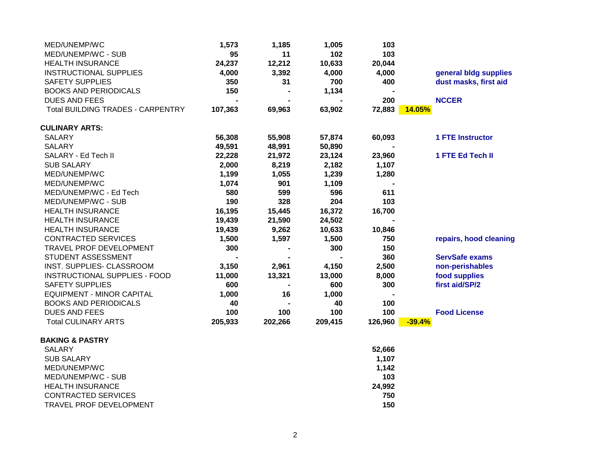| MED/UNEMP/WC                             | 1,573   | 1,185   | 1,005   | 103            |                         |
|------------------------------------------|---------|---------|---------|----------------|-------------------------|
| MED/UNEMP/WC - SUB                       | 95      | 11      | 102     | 103            |                         |
| <b>HEALTH INSURANCE</b>                  | 24,237  | 12,212  | 10,633  | 20,044         |                         |
| <b>INSTRUCTIONAL SUPPLIES</b>            | 4,000   | 3,392   | 4,000   | 4,000          | general bldg supplies   |
| <b>SAFETY SUPPLIES</b>                   | 350     | 31      | 700     | 400            | dust masks, first aid   |
| <b>BOOKS AND PERIODICALS</b>             | 150     |         | 1,134   |                |                         |
| <b>DUES AND FEES</b>                     |         |         |         | 200            | <b>NCCER</b>            |
| <b>Total BUILDING TRADES - CARPENTRY</b> | 107,363 | 69,963  | 63,902  | 72,883         | 14.05%                  |
| <b>CULINARY ARTS:</b>                    |         |         |         |                |                         |
| <b>SALARY</b>                            | 56,308  | 55,908  | 57,874  | 60,093         | <b>1 FTE Instructor</b> |
| <b>SALARY</b>                            | 49,591  | 48,991  | 50,890  |                |                         |
| SALARY - Ed Tech II                      | 22,228  | 21,972  | 23,124  | 23,960         | 1 FTE Ed Tech II        |
| <b>SUB SALARY</b>                        | 2,000   | 8,219   | 2,182   | 1,107          |                         |
| MED/UNEMP/WC                             | 1,199   | 1,055   | 1,239   | 1,280          |                         |
| MED/UNEMP/WC                             | 1,074   | 901     | 1,109   | $\blacksquare$ |                         |
| MED/UNEMP/WC - Ed Tech                   | 580     | 599     | 596     | 611            |                         |
| MED/UNEMP/WC - SUB                       | 190     | 328     | 204     | 103            |                         |
| <b>HEALTH INSURANCE</b>                  | 16,195  | 15,445  | 16,372  | 16,700         |                         |
| <b>HEALTH INSURANCE</b>                  | 19,439  | 21,590  | 24,502  | $\blacksquare$ |                         |
| <b>HEALTH INSURANCE</b>                  | 19,439  | 9,262   | 10,633  | 10,846         |                         |
| <b>CONTRACTED SERVICES</b>               | 1,500   | 1,597   | 1,500   | 750            | repairs, hood cleaning  |
| TRAVEL PROF DEVELOPMENT                  | 300     |         | 300     | 150            |                         |
| STUDENT ASSESSMENT                       |         |         |         | 360            | <b>ServSafe exams</b>   |
| INST. SUPPLIES- CLASSROOM                | 3,150   | 2,961   | 4,150   | 2,500          | non-perishables         |
| INSTRUCTIONAL SUPPLIES - FOOD            | 11,000  | 13,321  | 13,000  | 8,000          | food supplies           |
| <b>SAFETY SUPPLIES</b>                   | 600     |         | 600     | 300            | first aid/SP/2          |
| <b>EQUIPMENT - MINOR CAPITAL</b>         | 1,000   | 16      | 1,000   |                |                         |
| <b>BOOKS AND PERIODICALS</b>             | 40      |         | 40      | 100            |                         |
| <b>DUES AND FEES</b>                     | 100     | 100     | 100     | 100            | <b>Food License</b>     |
| <b>Total CULINARY ARTS</b>               | 205,933 | 202,266 | 209,415 | 126,960        | $-39.4%$                |
| <b>BAKING &amp; PASTRY</b>               |         |         |         |                |                         |
| <b>SALARY</b>                            |         |         |         | 52,666         |                         |
| <b>SUB SALARY</b>                        |         |         |         | 1,107          |                         |
| MED/UNEMP/WC                             |         |         |         | 1,142          |                         |
| MED/UNEMP/WC - SUB                       |         |         |         | 103            |                         |
| <b>HEALTH INSURANCE</b>                  |         |         |         | 24,992         |                         |
|                                          |         |         |         |                |                         |

1000-32620-1000-54300 CONTRACTED SERVICES **750 TRAVEL PROF DEVELOPMENT**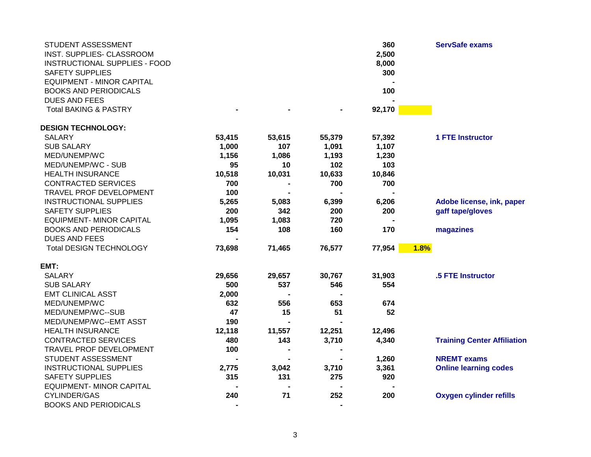| <b>BOOKS AND PERIODICALS</b><br>100<br><b>DUES AND FEES</b><br><b>Total BAKING &amp; PASTRY</b><br>92,170<br><b>DESIGN TECHNOLOGY:</b><br><b>1 FTE Instructor</b><br><b>SALARY</b><br>53,415<br>53,615<br>55,379<br>57,392<br><b>SUB SALARY</b><br>1,000<br>107<br>1,107<br>1,091<br>MED/UNEMP/WC<br>1,156<br>1,086<br>1,193<br>1,230<br>MED/UNEMP/WC - SUB<br>102<br>103<br>95<br>10<br><b>HEALTH INSURANCE</b><br>10,031<br>10,633<br>10,846<br>10,518<br>700<br>700<br><b>CONTRACTED SERVICES</b><br>700<br>100<br>TRAVEL PROF DEVELOPMENT<br><b>INSTRUCTIONAL SUPPLIES</b><br>5,265<br>Adobe license, ink, paper<br>5,083<br>6,399<br>6,206<br><b>SAFETY SUPPLIES</b><br>200<br>342<br>200<br>200<br>gaff tape/gloves<br><b>EQUIPMENT- MINOR CAPITAL</b><br>1,095<br>1,083<br>720<br>108<br>160<br><b>BOOKS AND PERIODICALS</b><br>154<br>170<br>magazines<br><b>DUES AND FEES</b><br><b>Total DESIGN TECHNOLOGY</b><br>73,698<br>76,577<br>77,954<br>1.8%<br>71,465<br>EMT:<br><b>SALARY</b><br>.5 FTE Instructor<br>29,656<br>29,657<br>30,767<br>31,903<br><b>SUB SALARY</b><br>500<br>537<br>546<br>554<br><b>EMT CLINICAL ASST</b><br>2,000<br>MED/UNEMP/WC<br>556<br>653<br>674<br>632<br>47<br>51<br>52<br>MED/UNEMP/WC--SUB<br>15<br>190<br>MED/UNEMP/WC--EMT ASST<br><b>HEALTH INSURANCE</b><br>12,118<br>11,557<br>12,251<br>12,496<br><b>CONTRACTED SERVICES</b><br>480<br>143<br>3,710<br>4,340<br><b>Training Center Affiliation</b><br>TRAVEL PROF DEVELOPMENT<br>100<br>STUDENT ASSESSMENT<br><b>NREMT</b> exams<br>1,260<br>$\blacksquare$<br><b>INSTRUCTIONAL SUPPLIES</b><br>3,361<br><b>Online learning codes</b><br>2,775<br>3,042<br>3,710<br><b>SAFETY SUPPLIES</b><br>315<br>131<br>275<br>920<br><b>EQUIPMENT- MINOR CAPITAL</b><br>71<br>252<br><b>CYLINDER/GAS</b><br>240<br>200<br><b>Oxygen cylinder refills</b> | STUDENT ASSESSMENT<br>INST. SUPPLIES- CLASSROOM<br>INSTRUCTIONAL SUPPLIES - FOOD<br><b>SAFETY SUPPLIES</b> |  | 360<br>2,500<br>8,000<br>300 | <b>ServSafe exams</b> |
|--------------------------------------------------------------------------------------------------------------------------------------------------------------------------------------------------------------------------------------------------------------------------------------------------------------------------------------------------------------------------------------------------------------------------------------------------------------------------------------------------------------------------------------------------------------------------------------------------------------------------------------------------------------------------------------------------------------------------------------------------------------------------------------------------------------------------------------------------------------------------------------------------------------------------------------------------------------------------------------------------------------------------------------------------------------------------------------------------------------------------------------------------------------------------------------------------------------------------------------------------------------------------------------------------------------------------------------------------------------------------------------------------------------------------------------------------------------------------------------------------------------------------------------------------------------------------------------------------------------------------------------------------------------------------------------------------------------------------------------------------------------------------------------------------------------------------------------------------|------------------------------------------------------------------------------------------------------------|--|------------------------------|-----------------------|
|                                                                                                                                                                                                                                                                                                                                                                                                                                                                                                                                                                                                                                                                                                                                                                                                                                                                                                                                                                                                                                                                                                                                                                                                                                                                                                                                                                                                                                                                                                                                                                                                                                                                                                                                                                                                                                                  | <b>EQUIPMENT - MINOR CAPITAL</b>                                                                           |  |                              |                       |
|                                                                                                                                                                                                                                                                                                                                                                                                                                                                                                                                                                                                                                                                                                                                                                                                                                                                                                                                                                                                                                                                                                                                                                                                                                                                                                                                                                                                                                                                                                                                                                                                                                                                                                                                                                                                                                                  |                                                                                                            |  |                              |                       |
|                                                                                                                                                                                                                                                                                                                                                                                                                                                                                                                                                                                                                                                                                                                                                                                                                                                                                                                                                                                                                                                                                                                                                                                                                                                                                                                                                                                                                                                                                                                                                                                                                                                                                                                                                                                                                                                  |                                                                                                            |  |                              |                       |
|                                                                                                                                                                                                                                                                                                                                                                                                                                                                                                                                                                                                                                                                                                                                                                                                                                                                                                                                                                                                                                                                                                                                                                                                                                                                                                                                                                                                                                                                                                                                                                                                                                                                                                                                                                                                                                                  |                                                                                                            |  |                              |                       |
|                                                                                                                                                                                                                                                                                                                                                                                                                                                                                                                                                                                                                                                                                                                                                                                                                                                                                                                                                                                                                                                                                                                                                                                                                                                                                                                                                                                                                                                                                                                                                                                                                                                                                                                                                                                                                                                  |                                                                                                            |  |                              |                       |
|                                                                                                                                                                                                                                                                                                                                                                                                                                                                                                                                                                                                                                                                                                                                                                                                                                                                                                                                                                                                                                                                                                                                                                                                                                                                                                                                                                                                                                                                                                                                                                                                                                                                                                                                                                                                                                                  |                                                                                                            |  |                              |                       |
|                                                                                                                                                                                                                                                                                                                                                                                                                                                                                                                                                                                                                                                                                                                                                                                                                                                                                                                                                                                                                                                                                                                                                                                                                                                                                                                                                                                                                                                                                                                                                                                                                                                                                                                                                                                                                                                  |                                                                                                            |  |                              |                       |
|                                                                                                                                                                                                                                                                                                                                                                                                                                                                                                                                                                                                                                                                                                                                                                                                                                                                                                                                                                                                                                                                                                                                                                                                                                                                                                                                                                                                                                                                                                                                                                                                                                                                                                                                                                                                                                                  |                                                                                                            |  |                              |                       |
|                                                                                                                                                                                                                                                                                                                                                                                                                                                                                                                                                                                                                                                                                                                                                                                                                                                                                                                                                                                                                                                                                                                                                                                                                                                                                                                                                                                                                                                                                                                                                                                                                                                                                                                                                                                                                                                  |                                                                                                            |  |                              |                       |
|                                                                                                                                                                                                                                                                                                                                                                                                                                                                                                                                                                                                                                                                                                                                                                                                                                                                                                                                                                                                                                                                                                                                                                                                                                                                                                                                                                                                                                                                                                                                                                                                                                                                                                                                                                                                                                                  |                                                                                                            |  |                              |                       |
|                                                                                                                                                                                                                                                                                                                                                                                                                                                                                                                                                                                                                                                                                                                                                                                                                                                                                                                                                                                                                                                                                                                                                                                                                                                                                                                                                                                                                                                                                                                                                                                                                                                                                                                                                                                                                                                  |                                                                                                            |  |                              |                       |
|                                                                                                                                                                                                                                                                                                                                                                                                                                                                                                                                                                                                                                                                                                                                                                                                                                                                                                                                                                                                                                                                                                                                                                                                                                                                                                                                                                                                                                                                                                                                                                                                                                                                                                                                                                                                                                                  |                                                                                                            |  |                              |                       |
|                                                                                                                                                                                                                                                                                                                                                                                                                                                                                                                                                                                                                                                                                                                                                                                                                                                                                                                                                                                                                                                                                                                                                                                                                                                                                                                                                                                                                                                                                                                                                                                                                                                                                                                                                                                                                                                  |                                                                                                            |  |                              |                       |
|                                                                                                                                                                                                                                                                                                                                                                                                                                                                                                                                                                                                                                                                                                                                                                                                                                                                                                                                                                                                                                                                                                                                                                                                                                                                                                                                                                                                                                                                                                                                                                                                                                                                                                                                                                                                                                                  |                                                                                                            |  |                              |                       |
|                                                                                                                                                                                                                                                                                                                                                                                                                                                                                                                                                                                                                                                                                                                                                                                                                                                                                                                                                                                                                                                                                                                                                                                                                                                                                                                                                                                                                                                                                                                                                                                                                                                                                                                                                                                                                                                  |                                                                                                            |  |                              |                       |
|                                                                                                                                                                                                                                                                                                                                                                                                                                                                                                                                                                                                                                                                                                                                                                                                                                                                                                                                                                                                                                                                                                                                                                                                                                                                                                                                                                                                                                                                                                                                                                                                                                                                                                                                                                                                                                                  |                                                                                                            |  |                              |                       |
|                                                                                                                                                                                                                                                                                                                                                                                                                                                                                                                                                                                                                                                                                                                                                                                                                                                                                                                                                                                                                                                                                                                                                                                                                                                                                                                                                                                                                                                                                                                                                                                                                                                                                                                                                                                                                                                  |                                                                                                            |  |                              |                       |
|                                                                                                                                                                                                                                                                                                                                                                                                                                                                                                                                                                                                                                                                                                                                                                                                                                                                                                                                                                                                                                                                                                                                                                                                                                                                                                                                                                                                                                                                                                                                                                                                                                                                                                                                                                                                                                                  |                                                                                                            |  |                              |                       |
|                                                                                                                                                                                                                                                                                                                                                                                                                                                                                                                                                                                                                                                                                                                                                                                                                                                                                                                                                                                                                                                                                                                                                                                                                                                                                                                                                                                                                                                                                                                                                                                                                                                                                                                                                                                                                                                  |                                                                                                            |  |                              |                       |
|                                                                                                                                                                                                                                                                                                                                                                                                                                                                                                                                                                                                                                                                                                                                                                                                                                                                                                                                                                                                                                                                                                                                                                                                                                                                                                                                                                                                                                                                                                                                                                                                                                                                                                                                                                                                                                                  |                                                                                                            |  |                              |                       |
|                                                                                                                                                                                                                                                                                                                                                                                                                                                                                                                                                                                                                                                                                                                                                                                                                                                                                                                                                                                                                                                                                                                                                                                                                                                                                                                                                                                                                                                                                                                                                                                                                                                                                                                                                                                                                                                  |                                                                                                            |  |                              |                       |
|                                                                                                                                                                                                                                                                                                                                                                                                                                                                                                                                                                                                                                                                                                                                                                                                                                                                                                                                                                                                                                                                                                                                                                                                                                                                                                                                                                                                                                                                                                                                                                                                                                                                                                                                                                                                                                                  |                                                                                                            |  |                              |                       |
|                                                                                                                                                                                                                                                                                                                                                                                                                                                                                                                                                                                                                                                                                                                                                                                                                                                                                                                                                                                                                                                                                                                                                                                                                                                                                                                                                                                                                                                                                                                                                                                                                                                                                                                                                                                                                                                  |                                                                                                            |  |                              |                       |
|                                                                                                                                                                                                                                                                                                                                                                                                                                                                                                                                                                                                                                                                                                                                                                                                                                                                                                                                                                                                                                                                                                                                                                                                                                                                                                                                                                                                                                                                                                                                                                                                                                                                                                                                                                                                                                                  |                                                                                                            |  |                              |                       |
|                                                                                                                                                                                                                                                                                                                                                                                                                                                                                                                                                                                                                                                                                                                                                                                                                                                                                                                                                                                                                                                                                                                                                                                                                                                                                                                                                                                                                                                                                                                                                                                                                                                                                                                                                                                                                                                  |                                                                                                            |  |                              |                       |
|                                                                                                                                                                                                                                                                                                                                                                                                                                                                                                                                                                                                                                                                                                                                                                                                                                                                                                                                                                                                                                                                                                                                                                                                                                                                                                                                                                                                                                                                                                                                                                                                                                                                                                                                                                                                                                                  |                                                                                                            |  |                              |                       |
|                                                                                                                                                                                                                                                                                                                                                                                                                                                                                                                                                                                                                                                                                                                                                                                                                                                                                                                                                                                                                                                                                                                                                                                                                                                                                                                                                                                                                                                                                                                                                                                                                                                                                                                                                                                                                                                  |                                                                                                            |  |                              |                       |
|                                                                                                                                                                                                                                                                                                                                                                                                                                                                                                                                                                                                                                                                                                                                                                                                                                                                                                                                                                                                                                                                                                                                                                                                                                                                                                                                                                                                                                                                                                                                                                                                                                                                                                                                                                                                                                                  |                                                                                                            |  |                              |                       |
|                                                                                                                                                                                                                                                                                                                                                                                                                                                                                                                                                                                                                                                                                                                                                                                                                                                                                                                                                                                                                                                                                                                                                                                                                                                                                                                                                                                                                                                                                                                                                                                                                                                                                                                                                                                                                                                  |                                                                                                            |  |                              |                       |
|                                                                                                                                                                                                                                                                                                                                                                                                                                                                                                                                                                                                                                                                                                                                                                                                                                                                                                                                                                                                                                                                                                                                                                                                                                                                                                                                                                                                                                                                                                                                                                                                                                                                                                                                                                                                                                                  |                                                                                                            |  |                              |                       |
|                                                                                                                                                                                                                                                                                                                                                                                                                                                                                                                                                                                                                                                                                                                                                                                                                                                                                                                                                                                                                                                                                                                                                                                                                                                                                                                                                                                                                                                                                                                                                                                                                                                                                                                                                                                                                                                  |                                                                                                            |  |                              |                       |
|                                                                                                                                                                                                                                                                                                                                                                                                                                                                                                                                                                                                                                                                                                                                                                                                                                                                                                                                                                                                                                                                                                                                                                                                                                                                                                                                                                                                                                                                                                                                                                                                                                                                                                                                                                                                                                                  |                                                                                                            |  |                              |                       |
|                                                                                                                                                                                                                                                                                                                                                                                                                                                                                                                                                                                                                                                                                                                                                                                                                                                                                                                                                                                                                                                                                                                                                                                                                                                                                                                                                                                                                                                                                                                                                                                                                                                                                                                                                                                                                                                  |                                                                                                            |  |                              |                       |
|                                                                                                                                                                                                                                                                                                                                                                                                                                                                                                                                                                                                                                                                                                                                                                                                                                                                                                                                                                                                                                                                                                                                                                                                                                                                                                                                                                                                                                                                                                                                                                                                                                                                                                                                                                                                                                                  | <b>BOOKS AND PERIODICALS</b>                                                                               |  |                              |                       |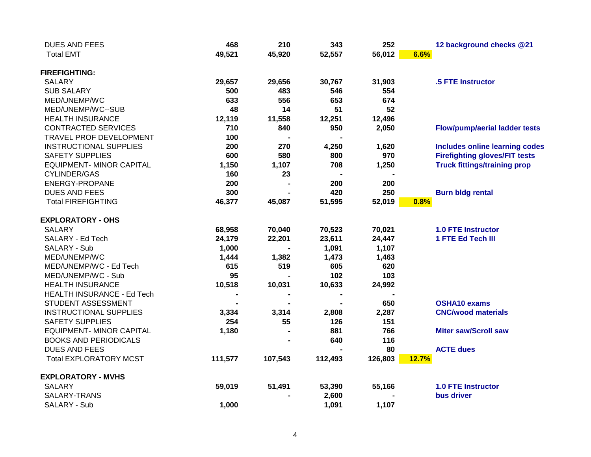| 49,521<br><b>Total EMT</b><br>45,920<br>56,012<br>52,557<br>6.6%<br><b>FIREFIGHTING:</b><br><b>SALARY</b><br>29,657<br>30,767<br>31,903<br>29,656<br><b>SUB SALARY</b><br>500<br>483<br>546<br>554 | .5 FTE Instructor                     |
|----------------------------------------------------------------------------------------------------------------------------------------------------------------------------------------------------|---------------------------------------|
|                                                                                                                                                                                                    |                                       |
|                                                                                                                                                                                                    |                                       |
|                                                                                                                                                                                                    |                                       |
|                                                                                                                                                                                                    |                                       |
| 633<br>556<br>653<br>674<br>MED/UNEMP/WC                                                                                                                                                           |                                       |
| 14<br>51<br>52<br>MED/UNEMP/WC--SUB<br>48                                                                                                                                                          |                                       |
| <b>HEALTH INSURANCE</b><br>12,119<br>11,558<br>12,251<br>12,496                                                                                                                                    |                                       |
| 710<br>950<br><b>CONTRACTED SERVICES</b><br>840<br>2,050                                                                                                                                           | <b>Flow/pump/aerial ladder tests</b>  |
| TRAVEL PROF DEVELOPMENT<br>100                                                                                                                                                                     |                                       |
| 200<br>270<br><b>INSTRUCTIONAL SUPPLIES</b><br>4,250<br>1,620                                                                                                                                      | <b>Includes online learning codes</b> |
| 970<br><b>SAFETY SUPPLIES</b><br>600<br>580<br>800                                                                                                                                                 | <b>Firefighting gloves/FIT tests</b>  |
| <b>EQUIPMENT- MINOR CAPITAL</b><br>1,150<br>1,107<br>708<br>1,250                                                                                                                                  | <b>Truck fittings/training prop</b>   |
| <b>CYLINDER/GAS</b><br>160<br>23                                                                                                                                                                   |                                       |
| ENERGY-PROPANE<br>200<br>200<br>200                                                                                                                                                                |                                       |
| 300<br>420<br>250<br><b>DUES AND FEES</b>                                                                                                                                                          | <b>Burn bldg rental</b>               |
| <b>Total FIREFIGHTING</b><br>46,377<br>45,087<br>51,595<br>52,019<br>0.8%                                                                                                                          |                                       |
| <b>EXPLORATORY - OHS</b>                                                                                                                                                                           |                                       |
| <b>SALARY</b><br>68,958<br>70,040<br>70,523<br>70,021                                                                                                                                              | <b>1.0 FTE Instructor</b>             |
| SALARY - Ed Tech<br>24,179<br>22,201<br>23,611<br>24,447                                                                                                                                           | 1 FTE Ed Tech III                     |
| SALARY - Sub<br>1,000<br>1,091<br>1,107                                                                                                                                                            |                                       |
| 1,444<br>1,382<br>1,473<br>1,463<br>MED/UNEMP/WC                                                                                                                                                   |                                       |
| 519<br>605<br>620<br>MED/UNEMP/WC - Ed Tech<br>615                                                                                                                                                 |                                       |
| 95<br>102<br>103<br>MED/UNEMP/WC - Sub                                                                                                                                                             |                                       |
| 10,518<br><b>HEALTH INSURANCE</b><br>10,031<br>10,633<br>24,992                                                                                                                                    |                                       |
| <b>HEALTH INSURANCE - Ed Tech</b>                                                                                                                                                                  |                                       |
| 650<br>STUDENT ASSESSMENT<br><b>OSHA10 exams</b>                                                                                                                                                   |                                       |
| <b>INSTRUCTIONAL SUPPLIES</b><br>2,287<br>3,334<br>3,314<br>2,808                                                                                                                                  | <b>CNC/wood materials</b>             |
| <b>SAFETY SUPPLIES</b><br>254<br>126<br>151<br>55                                                                                                                                                  |                                       |
| <b>EQUIPMENT- MINOR CAPITAL</b><br>881<br>766<br>1,180                                                                                                                                             | <b>Miter saw/Scroll saw</b>           |
| <b>BOOKS AND PERIODICALS</b><br>640<br>116                                                                                                                                                         |                                       |
| <b>ACTE dues</b><br><b>DUES AND FEES</b><br>80                                                                                                                                                     |                                       |
| <b>Total EXPLORATORY MCST</b><br>111,577<br>107,543<br>112,493<br>126,803<br>12.7%                                                                                                                 |                                       |
| <b>EXPLORATORY - MVHS</b>                                                                                                                                                                          |                                       |
| <b>SALARY</b><br>51,491<br>55,166<br>59,019<br>53,390                                                                                                                                              | <b>1.0 FTE Instructor</b>             |
| SALARY-TRANS<br>2,600<br>bus driver                                                                                                                                                                |                                       |
| 1,000<br>SALARY - Sub<br>1,091<br>1,107                                                                                                                                                            |                                       |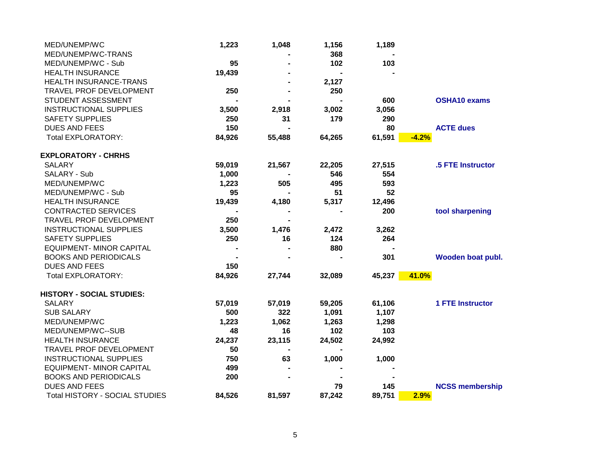| MED/UNEMP/WC                     | 1,223  | 1,048  | 1,156  | 1,189  |                         |
|----------------------------------|--------|--------|--------|--------|-------------------------|
| MED/UNEMP/WC-TRANS               |        |        | 368    |        |                         |
| MED/UNEMP/WC - Sub               | 95     |        | 102    | 103    |                         |
| <b>HEALTH INSURANCE</b>          | 19,439 |        |        |        |                         |
| HEALTH INSURANCE-TRANS           |        |        | 2,127  |        |                         |
| TRAVEL PROF DEVELOPMENT          | 250    |        | 250    |        |                         |
| STUDENT ASSESSMENT               |        |        |        | 600    | <b>OSHA10 exams</b>     |
| <b>INSTRUCTIONAL SUPPLIES</b>    | 3,500  | 2,918  | 3,002  | 3,056  |                         |
| <b>SAFETY SUPPLIES</b>           | 250    | 31     | 179    | 290    |                         |
| <b>DUES AND FEES</b>             | 150    |        |        | 80     | <b>ACTE dues</b>        |
| <b>Total EXPLORATORY:</b>        | 84,926 | 55,488 | 64,265 | 61,591 | $-4.2%$                 |
| <b>EXPLORATORY - CHRHS</b>       |        |        |        |        |                         |
| <b>SALARY</b>                    | 59,019 | 21,567 | 22,205 | 27,515 | .5 FTE Instructor       |
| SALARY - Sub                     | 1,000  |        | 546    | 554    |                         |
| MED/UNEMP/WC                     | 1,223  | 505    | 495    | 593    |                         |
| MED/UNEMP/WC - Sub               | 95     |        | 51     | 52     |                         |
| <b>HEALTH INSURANCE</b>          | 19,439 | 4,180  | 5,317  | 12,496 |                         |
| <b>CONTRACTED SERVICES</b>       |        |        |        | 200    | tool sharpening         |
| TRAVEL PROF DEVELOPMENT          | 250    |        |        |        |                         |
| <b>INSTRUCTIONAL SUPPLIES</b>    | 3,500  | 1,476  | 2,472  | 3,262  |                         |
| <b>SAFETY SUPPLIES</b>           | 250    | 16     | 124    | 264    |                         |
| <b>EQUIPMENT- MINOR CAPITAL</b>  |        |        | 880    |        |                         |
| <b>BOOKS AND PERIODICALS</b>     |        |        |        | 301    | Wooden boat publ.       |
| <b>DUES AND FEES</b>             | 150    |        |        |        |                         |
| <b>Total EXPLORATORY:</b>        | 84,926 | 27,744 | 32,089 | 45,237 | 41.0%                   |
| <b>HISTORY - SOCIAL STUDIES:</b> |        |        |        |        |                         |
| <b>SALARY</b>                    | 57,019 | 57,019 | 59,205 | 61,106 | <b>1 FTE Instructor</b> |
| <b>SUB SALARY</b>                | 500    | 322    | 1,091  | 1,107  |                         |
| MED/UNEMP/WC                     | 1,223  | 1,062  | 1,263  | 1,298  |                         |
| MED/UNEMP/WC--SUB                | 48     | 16     | 102    | 103    |                         |
| <b>HEALTH INSURANCE</b>          | 24,237 | 23,115 | 24,502 | 24,992 |                         |
| TRAVEL PROF DEVELOPMENT          | 50     |        |        |        |                         |
| <b>INSTRUCTIONAL SUPPLIES</b>    | 750    | 63     | 1,000  | 1,000  |                         |
| <b>EQUIPMENT- MINOR CAPITAL</b>  | 499    |        |        |        |                         |
| <b>BOOKS AND PERIODICALS</b>     | 200    |        |        |        |                         |
| <b>DUES AND FEES</b>             |        |        | 79     | 145    | <b>NCSS membership</b>  |
| Total HISTORY - SOCIAL STUDIES   | 84,526 | 81,597 | 87,242 | 89,751 | 2.9%                    |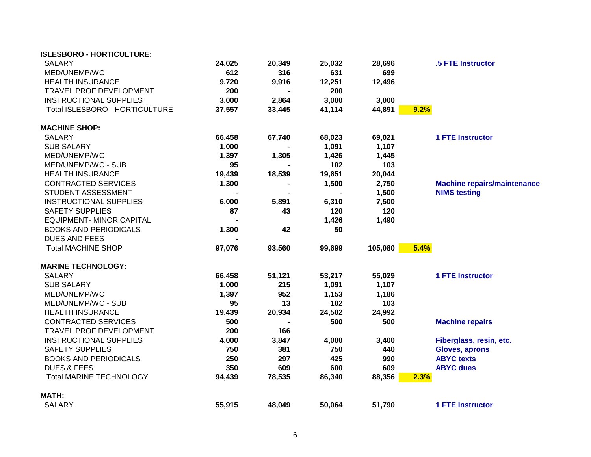| <b>ISLESBORO - HORTICULTURE:</b> |        |        |        |         |      |                                    |
|----------------------------------|--------|--------|--------|---------|------|------------------------------------|
| <b>SALARY</b>                    | 24,025 | 20,349 | 25,032 | 28,696  |      | .5 FTE Instructor                  |
| MED/UNEMP/WC                     | 612    | 316    | 631    | 699     |      |                                    |
| <b>HEALTH INSURANCE</b>          | 9,720  | 9,916  | 12,251 | 12,496  |      |                                    |
| TRAVEL PROF DEVELOPMENT          | 200    |        | 200    |         |      |                                    |
| <b>INSTRUCTIONAL SUPPLIES</b>    | 3,000  | 2,864  | 3,000  | 3,000   |      |                                    |
| Total ISLESBORO - HORTICULTURE   | 37,557 | 33,445 | 41,114 | 44,891  | 9.2% |                                    |
| <b>MACHINE SHOP:</b>             |        |        |        |         |      |                                    |
| <b>SALARY</b>                    | 66,458 | 67,740 | 68,023 | 69,021  |      | <b>1 FTE Instructor</b>            |
| <b>SUB SALARY</b>                | 1,000  |        | 1,091  | 1,107   |      |                                    |
| MED/UNEMP/WC                     | 1,397  | 1,305  | 1,426  | 1,445   |      |                                    |
| MED/UNEMP/WC - SUB               | 95     |        | 102    | 103     |      |                                    |
| <b>HEALTH INSURANCE</b>          | 19,439 | 18,539 | 19,651 | 20,044  |      |                                    |
| <b>CONTRACTED SERVICES</b>       | 1,300  |        | 1,500  | 2,750   |      | <b>Machine repairs/maintenance</b> |
| STUDENT ASSESSMENT               |        |        |        | 1,500   |      | <b>NIMS testing</b>                |
| <b>INSTRUCTIONAL SUPPLIES</b>    | 6,000  | 5,891  | 6,310  | 7,500   |      |                                    |
| <b>SAFETY SUPPLIES</b>           | 87     | 43     | 120    | 120     |      |                                    |
| <b>EQUIPMENT- MINOR CAPITAL</b>  |        |        | 1,426  | 1,490   |      |                                    |
| <b>BOOKS AND PERIODICALS</b>     | 1,300  | 42     | 50     |         |      |                                    |
| <b>DUES AND FEES</b>             |        |        |        |         |      |                                    |
| <b>Total MACHINE SHOP</b>        | 97,076 | 93,560 | 99,699 | 105,080 | 5.4% |                                    |
| <b>MARINE TECHNOLOGY:</b>        |        |        |        |         |      |                                    |
| <b>SALARY</b>                    | 66,458 | 51,121 | 53,217 | 55,029  |      | <b>1 FTE Instructor</b>            |
| <b>SUB SALARY</b>                | 1,000  | 215    | 1,091  | 1,107   |      |                                    |
| MED/UNEMP/WC                     | 1,397  | 952    | 1,153  | 1,186   |      |                                    |
| MED/UNEMP/WC - SUB               | 95     | 13     | 102    | 103     |      |                                    |
| <b>HEALTH INSURANCE</b>          | 19,439 | 20,934 | 24,502 | 24,992  |      |                                    |
| <b>CONTRACTED SERVICES</b>       | 500    |        | 500    | 500     |      | <b>Machine repairs</b>             |
| TRAVEL PROF DEVELOPMENT          | 200    | 166    |        |         |      |                                    |
| <b>INSTRUCTIONAL SUPPLIES</b>    | 4,000  | 3,847  | 4,000  | 3,400   |      | Fiberglass, resin, etc.            |
| <b>SAFETY SUPPLIES</b>           | 750    | 381    | 750    | 440     |      | <b>Gloves, aprons</b>              |
| <b>BOOKS AND PERIODICALS</b>     | 250    | 297    | 425    | 990     |      | <b>ABYC</b> texts                  |
| <b>DUES &amp; FEES</b>           | 350    | 609    | 600    | 609     |      | <b>ABYC dues</b>                   |
| <b>Total MARINE TECHNOLOGY</b>   | 94,439 | 78,535 | 86,340 | 88,356  | 2.3% |                                    |
| <b>MATH:</b>                     |        |        |        |         |      |                                    |
| <b>SALARY</b>                    | 55,915 | 48,049 | 50,064 | 51,790  |      | <b>1 FTE Instructor</b>            |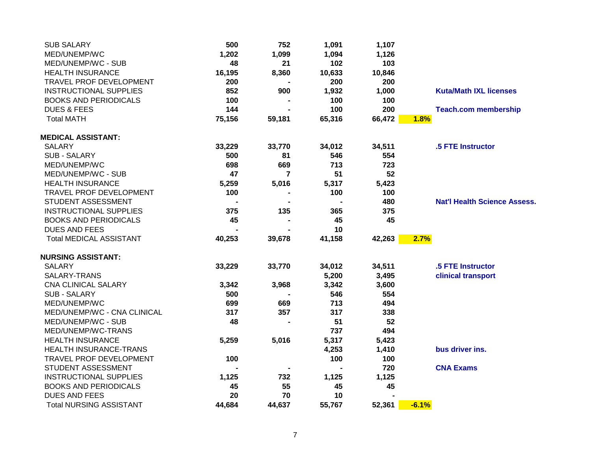| 500    | 752    | 1,091  | 1,107           |                 |                                     |
|--------|--------|--------|-----------------|-----------------|-------------------------------------|
| 1,202  | 1,099  | 1,094  | 1,126           |                 |                                     |
| 48     | 21     | 102    | 103             |                 |                                     |
|        |        |        |                 |                 |                                     |
| 200    |        | 200    | 200             |                 |                                     |
| 852    | 900    |        |                 |                 | <b>Kuta/Math IXL licenses</b>       |
| 100    |        | 100    | 100             |                 |                                     |
| 144    |        | 100    | 200             |                 | <b>Teach.com membership</b>         |
| 75,156 | 59,181 | 65,316 | 66,472          | 1.8%            |                                     |
|        |        |        |                 |                 |                                     |
| 33,229 | 33,770 | 34,012 | 34,511          |                 | .5 FTE Instructor                   |
| 500    | 81     | 546    | 554             |                 |                                     |
| 698    | 669    | 713    | 723             |                 |                                     |
| 47     | 7      | 51     | 52              |                 |                                     |
| 5,259  | 5,016  | 5,317  | 5,423           |                 |                                     |
| 100    |        | 100    | 100             |                 |                                     |
|        |        |        | 480             |                 | <b>Nat'l Health Science Assess.</b> |
| 375    | 135    | 365    | 375             |                 |                                     |
| 45     |        | 45     | 45              |                 |                                     |
|        |        | 10     |                 |                 |                                     |
| 40,253 | 39,678 | 41,158 | 42,263          | 2.7%            |                                     |
|        |        |        |                 |                 |                                     |
| 33,229 | 33,770 | 34,012 | 34,511          |                 | .5 FTE Instructor                   |
|        |        | 5,200  | 3,495           |                 | clinical transport                  |
| 3,342  | 3,968  | 3,342  | 3,600           |                 |                                     |
| 500    |        | 546    | 554             |                 |                                     |
| 699    | 669    | 713    | 494             |                 |                                     |
| 317    | 357    | 317    | 338             |                 |                                     |
| 48     |        | 51     | 52              |                 |                                     |
|        |        | 737    | 494             |                 |                                     |
| 5,259  | 5,016  | 5,317  | 5,423           |                 |                                     |
|        |        | 4,253  | 1,410           |                 | bus driver ins.                     |
| 100    |        | 100    | 100             |                 |                                     |
|        |        |        | 720             |                 | <b>CNA Exams</b>                    |
| 1,125  | 732    | 1,125  | 1,125           |                 |                                     |
| 45     | 55     | 45     | 45              |                 |                                     |
| 20     | 70     | 10     |                 |                 |                                     |
| 44,684 | 44,637 | 55,767 | 52,361          | $-6.1%$         |                                     |
|        | 16,195 | 8,360  | 10,633<br>1,932 | 10,846<br>1,000 |                                     |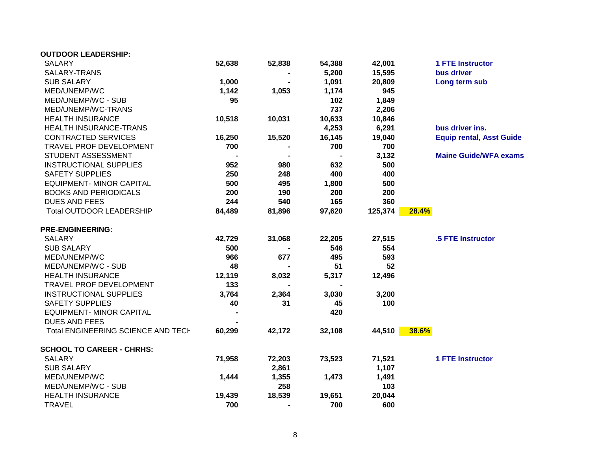| <b>OUTDOOR LEADERSHIP:</b>                |        |        |        |         |       |                                 |
|-------------------------------------------|--------|--------|--------|---------|-------|---------------------------------|
| <b>SALARY</b>                             | 52,638 | 52,838 | 54,388 | 42,001  |       | <b>1 FTE Instructor</b>         |
| SALARY-TRANS                              |        |        | 5,200  | 15,595  |       | bus driver                      |
| <b>SUB SALARY</b>                         | 1,000  |        | 1,091  | 20,809  |       | Long term sub                   |
| MED/UNEMP/WC                              | 1,142  | 1,053  | 1,174  | 945     |       |                                 |
| MED/UNEMP/WC - SUB                        | 95     |        | 102    | 1,849   |       |                                 |
| MED/UNEMP/WC-TRANS                        |        |        | 737    | 2,206   |       |                                 |
| <b>HEALTH INSURANCE</b>                   | 10,518 | 10,031 | 10,633 | 10,846  |       |                                 |
| HEALTH INSURANCE-TRANS                    |        |        | 4,253  | 6,291   |       | bus driver ins.                 |
| <b>CONTRACTED SERVICES</b>                | 16,250 | 15,520 | 16,145 | 19,040  |       | <b>Equip rental, Asst Guide</b> |
| TRAVEL PROF DEVELOPMENT                   | 700    |        | 700    | 700     |       |                                 |
| STUDENT ASSESSMENT                        |        |        |        | 3,132   |       | <b>Maine Guide/WFA exams</b>    |
| <b>INSTRUCTIONAL SUPPLIES</b>             | 952    | 980    | 632    | 500     |       |                                 |
| <b>SAFETY SUPPLIES</b>                    | 250    | 248    | 400    | 400     |       |                                 |
| <b>EQUIPMENT- MINOR CAPITAL</b>           | 500    | 495    | 1,800  | 500     |       |                                 |
| <b>BOOKS AND PERIODICALS</b>              | 200    | 190    | 200    | 200     |       |                                 |
| <b>DUES AND FEES</b>                      | 244    | 540    | 165    | 360     |       |                                 |
| Total OUTDOOR LEADERSHIP                  | 84,489 | 81,896 | 97,620 | 125,374 | 28.4% |                                 |
| <b>PRE-ENGINEERING:</b>                   |        |        |        |         |       |                                 |
| SALARY                                    | 42,729 | 31,068 | 22,205 | 27,515  |       | .5 FTE Instructor               |
| <b>SUB SALARY</b>                         | 500    |        | 546    | 554     |       |                                 |
| MED/UNEMP/WC                              | 966    | 677    | 495    | 593     |       |                                 |
| MED/UNEMP/WC - SUB                        | 48     |        | 51     | 52      |       |                                 |
| <b>HEALTH INSURANCE</b>                   | 12,119 | 8,032  | 5,317  | 12,496  |       |                                 |
| TRAVEL PROF DEVELOPMENT                   | 133    |        |        |         |       |                                 |
| <b>INSTRUCTIONAL SUPPLIES</b>             | 3,764  | 2,364  | 3,030  | 3,200   |       |                                 |
| <b>SAFETY SUPPLIES</b>                    | 40     | 31     | 45     | 100     |       |                                 |
| <b>EQUIPMENT- MINOR CAPITAL</b>           |        |        | 420    |         |       |                                 |
| <b>DUES AND FEES</b>                      |        |        |        |         |       |                                 |
| <b>Total ENGINEERING SCIENCE AND TECH</b> | 60,299 | 42,172 | 32,108 | 44,510  | 38.6% |                                 |
| <b>SCHOOL TO CAREER - CHRHS:</b>          |        |        |        |         |       |                                 |
| <b>SALARY</b>                             | 71,958 | 72,203 | 73,523 | 71,521  |       | <b>1 FTE Instructor</b>         |
| <b>SUB SALARY</b>                         |        | 2,861  |        | 1,107   |       |                                 |
| MED/UNEMP/WC                              | 1,444  | 1,355  | 1,473  | 1,491   |       |                                 |
| MED/UNEMP/WC - SUB                        |        | 258    |        | 103     |       |                                 |
| <b>HEALTH INSURANCE</b>                   | 19,439 | 18,539 | 19,651 | 20,044  |       |                                 |
| <b>TRAVEL</b>                             | 700    |        | 700    | 600     |       |                                 |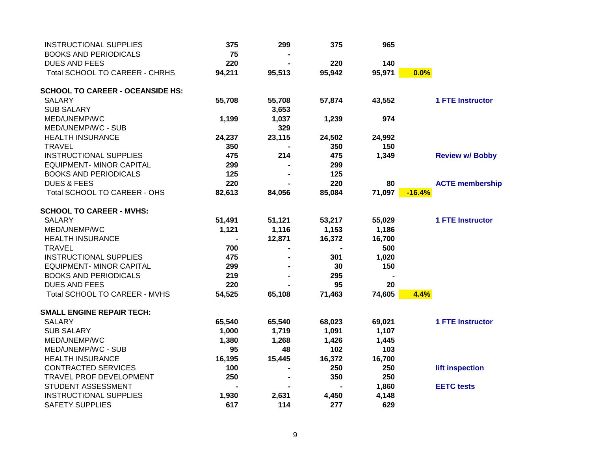| <b>INSTRUCTIONAL SUPPLIES</b>           | 375    | 299    | 375    | 965    |                         |
|-----------------------------------------|--------|--------|--------|--------|-------------------------|
| <b>BOOKS AND PERIODICALS</b>            | 75     |        |        |        |                         |
| <b>DUES AND FEES</b>                    | 220    |        | 220    | 140    |                         |
| <b>Total SCHOOL TO CAREER - CHRHS</b>   | 94,211 | 95,513 | 95,942 | 95,971 | 0.0%                    |
| <b>SCHOOL TO CAREER - OCEANSIDE HS:</b> |        |        |        |        |                         |
| <b>SALARY</b>                           | 55,708 | 55,708 | 57,874 | 43,552 | <b>1 FTE Instructor</b> |
| <b>SUB SALARY</b>                       |        | 3,653  |        |        |                         |
| MED/UNEMP/WC                            | 1,199  | 1,037  | 1,239  | 974    |                         |
| MED/UNEMP/WC - SUB                      |        | 329    |        |        |                         |
| <b>HEALTH INSURANCE</b>                 | 24,237 | 23,115 | 24,502 | 24,992 |                         |
| <b>TRAVEL</b>                           | 350    |        | 350    | 150    |                         |
| <b>INSTRUCTIONAL SUPPLIES</b>           | 475    | 214    | 475    | 1,349  | <b>Review w/ Bobby</b>  |
| <b>EQUIPMENT- MINOR CAPITAL</b>         | 299    |        | 299    |        |                         |
| <b>BOOKS AND PERIODICALS</b>            | 125    |        | 125    |        |                         |
| <b>DUES &amp; FEES</b>                  | 220    |        | 220    | 80     | <b>ACTE membership</b>  |
| Total SCHOOL TO CAREER - OHS            | 82,613 | 84,056 | 85,084 | 71,097 | $-16.4%$                |
| <b>SCHOOL TO CAREER - MVHS:</b>         |        |        |        |        |                         |
| <b>SALARY</b>                           | 51,491 | 51,121 | 53,217 | 55,029 | <b>1 FTE Instructor</b> |
| MED/UNEMP/WC                            | 1,121  | 1,116  | 1,153  | 1,186  |                         |
| <b>HEALTH INSURANCE</b>                 |        | 12,871 | 16,372 | 16,700 |                         |
| <b>TRAVEL</b>                           | 700    |        |        | 500    |                         |
| <b>INSTRUCTIONAL SUPPLIES</b>           | 475    |        | 301    | 1,020  |                         |
| <b>EQUIPMENT- MINOR CAPITAL</b>         | 299    |        | 30     | 150    |                         |
| <b>BOOKS AND PERIODICALS</b>            | 219    |        | 295    |        |                         |
| <b>DUES AND FEES</b>                    | 220    |        | 95     | 20     |                         |
| Total SCHOOL TO CAREER - MVHS           | 54,525 | 65,108 | 71,463 | 74,605 | 4.4%                    |
| <b>SMALL ENGINE REPAIR TECH:</b>        |        |        |        |        |                         |
| <b>SALARY</b>                           | 65,540 | 65,540 | 68,023 | 69,021 | <b>1 FTE Instructor</b> |
| <b>SUB SALARY</b>                       | 1,000  | 1,719  | 1,091  | 1,107  |                         |
| MED/UNEMP/WC                            | 1,380  | 1,268  | 1,426  | 1,445  |                         |
| MED/UNEMP/WC - SUB                      | 95     | 48     | 102    | 103    |                         |
| <b>HEALTH INSURANCE</b>                 | 16,195 | 15,445 | 16,372 | 16,700 |                         |
| <b>CONTRACTED SERVICES</b>              | 100    |        | 250    | 250    | lift inspection         |
| TRAVEL PROF DEVELOPMENT                 | 250    |        | 350    | 250    |                         |
| STUDENT ASSESSMENT                      |        |        |        | 1,860  | <b>EETC</b> tests       |
| <b>INSTRUCTIONAL SUPPLIES</b>           | 1,930  | 2,631  | 4,450  | 4,148  |                         |
| <b>SAFETY SUPPLIES</b>                  | 617    | 114    | 277    | 629    |                         |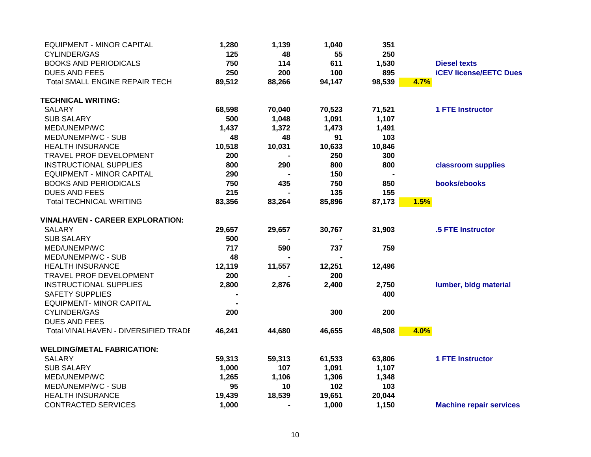| 1,280  | 1,139          | 1,040  | 351    |                                |
|--------|----------------|--------|--------|--------------------------------|
| 125    | 48             | 55     | 250    |                                |
| 750    | 114            | 611    | 1,530  | <b>Diesel texts</b>            |
| 250    | 200            | 100    | 895    | <b>iCEV license/EETC Dues</b>  |
| 89,512 | 88,266         | 94,147 | 98,539 | 4.7%                           |
|        |                |        |        |                                |
| 68,598 | 70,040         | 70,523 | 71,521 | <b>1 FTE Instructor</b>        |
| 500    | 1,048          | 1,091  | 1,107  |                                |
| 1,437  | 1,372          | 1,473  | 1,491  |                                |
| 48     | 48             | 91     | 103    |                                |
| 10,518 | 10,031         | 10,633 | 10,846 |                                |
| 200    |                | 250    | 300    |                                |
| 800    | 290            | 800    | 800    | classroom supplies             |
| 290    |                | 150    |        |                                |
| 750    | 435            | 750    | 850    | books/ebooks                   |
| 215    |                | 135    | 155    |                                |
| 83,356 | 83,264         | 85,896 | 87,173 | 1.5%                           |
|        |                |        |        |                                |
| 29,657 | 29,657         | 30,767 | 31,903 | .5 FTE Instructor              |
| 500    |                |        |        |                                |
| 717    | 590            | 737    | 759    |                                |
| 48     |                |        |        |                                |
| 12,119 | 11,557         | 12,251 | 12,496 |                                |
| 200    |                | 200    |        |                                |
| 2,800  | 2,876          | 2,400  | 2,750  | lumber, bldg material          |
|        |                |        | 400    |                                |
|        |                |        |        |                                |
| 200    |                | 300    | 200    |                                |
|        |                |        |        |                                |
| 46,241 | 44,680         | 46,655 | 48,508 | 4.0%                           |
|        |                |        |        |                                |
| 59,313 | 59,313         | 61,533 | 63,806 | <b>1 FTE Instructor</b>        |
| 1,000  | 107            | 1,091  | 1,107  |                                |
|        |                | 1,306  |        |                                |
| 95     | 10             | 102    | 103    |                                |
| 19,439 | 18,539         | 19,651 | 20,044 |                                |
| 1,000  | $\blacksquare$ | 1,000  | 1,150  | <b>Machine repair services</b> |
|        | 1,265          | 1,106  |        | 1,348                          |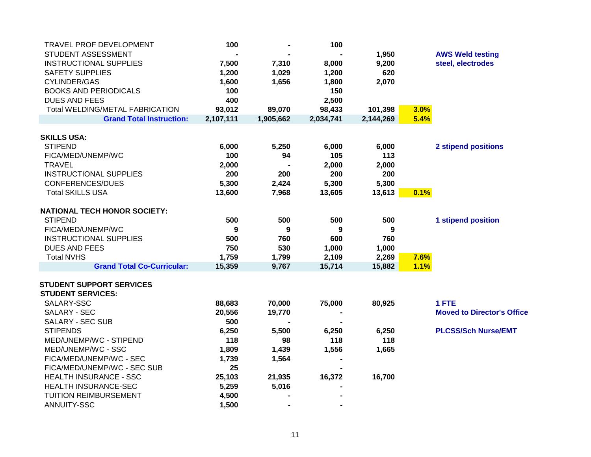| TRAVEL PROF DEVELOPMENT             | 100       |           | 100       |           |      |                                   |
|-------------------------------------|-----------|-----------|-----------|-----------|------|-----------------------------------|
| STUDENT ASSESSMENT                  |           |           |           | 1,950     |      | <b>AWS Weld testing</b>           |
| <b>INSTRUCTIONAL SUPPLIES</b>       | 7,500     | 7,310     | 8,000     | 9,200     |      | steel, electrodes                 |
| <b>SAFETY SUPPLIES</b>              | 1,200     | 1,029     | 1,200     | 620       |      |                                   |
| <b>CYLINDER/GAS</b>                 | 1,600     | 1,656     | 1,800     | 2,070     |      |                                   |
| <b>BOOKS AND PERIODICALS</b>        | 100       |           | 150       |           |      |                                   |
| <b>DUES AND FEES</b>                | 400       |           | 2,500     |           |      |                                   |
| Total WELDING/METAL FABRICATION     | 93,012    | 89,070    | 98,433    | 101,398   | 3.0% |                                   |
| <b>Grand Total Instruction:</b>     | 2,107,111 | 1,905,662 | 2,034,741 | 2,144,269 | 5.4% |                                   |
|                                     |           |           |           |           |      |                                   |
| <b>SKILLS USA:</b>                  |           |           |           |           |      |                                   |
| <b>STIPEND</b>                      | 6,000     | 5,250     | 6,000     | 6,000     |      | <b>2 stipend positions</b>        |
| FICA/MED/UNEMP/WC                   | 100       | 94        | 105       | 113       |      |                                   |
| <b>TRAVEL</b>                       | 2,000     |           | 2,000     | 2,000     |      |                                   |
| <b>INSTRUCTIONAL SUPPLIES</b>       | 200       | 200       | 200       | 200       |      |                                   |
| <b>CONFERENCES/DUES</b>             | 5,300     | 2,424     | 5,300     | 5,300     |      |                                   |
| <b>Total SKILLS USA</b>             | 13,600    | 7,968     | 13,605    | 13,613    | 0.1% |                                   |
| <b>NATIONAL TECH HONOR SOCIETY:</b> |           |           |           |           |      |                                   |
| <b>STIPEND</b>                      | 500       | 500       | 500       | 500       |      |                                   |
| FICA/MED/UNEMP/WC                   |           |           |           |           |      | <b>1 stipend position</b>         |
|                                     | 9         | 9         | 9         | 9         |      |                                   |
| <b>INSTRUCTIONAL SUPPLIES</b>       | 500       | 760       | 600       | 760       |      |                                   |
| <b>DUES AND FEES</b>                | 750       | 530       | 1,000     | 1,000     |      |                                   |
| <b>Total NVHS</b>                   | 1,759     | 1,799     | 2,109     | 2,269     | 7.6% |                                   |
| <b>Grand Total Co-Curricular:</b>   | 15,359    | 9,767     | 15,714    | 15,882    | 1.1% |                                   |
| <b>STUDENT SUPPORT SERVICES</b>     |           |           |           |           |      |                                   |
| <b>STUDENT SERVICES:</b>            |           |           |           |           |      |                                   |
| SALARY-SSC                          | 88,683    | 70,000    | 75,000    | 80,925    |      | 1 FTE                             |
| SALARY - SEC                        | 20,556    | 19,770    |           |           |      | <b>Moved to Director's Office</b> |
| <b>SALARY - SEC SUB</b>             | 500       |           |           |           |      |                                   |
| <b>STIPENDS</b>                     | 6,250     | 5,500     | 6,250     | 6,250     |      | <b>PLCSS/Sch Nurse/EMT</b>        |
| MED/UNEMP/WC - STIPEND              | 118       | 98        | 118       | 118       |      |                                   |
| MED/UNEMP/WC - SSC                  | 1,809     | 1,439     | 1,556     | 1,665     |      |                                   |
| FICA/MED/UNEMP/WC - SEC             | 1,739     | 1,564     |           |           |      |                                   |
| FICA/MED/UNEMP/WC - SEC SUB         | 25        |           |           |           |      |                                   |
| <b>HEALTH INSURANCE - SSC</b>       | 25,103    | 21,935    | 16,372    | 16,700    |      |                                   |
| HEALTH INSURANCE-SEC                | 5,259     | 5,016     |           |           |      |                                   |
| <b>TUITION REIMBURSEMENT</b>        | 4,500     |           |           |           |      |                                   |
| ANNUITY-SSC                         | 1,500     |           |           |           |      |                                   |
|                                     |           |           |           |           |      |                                   |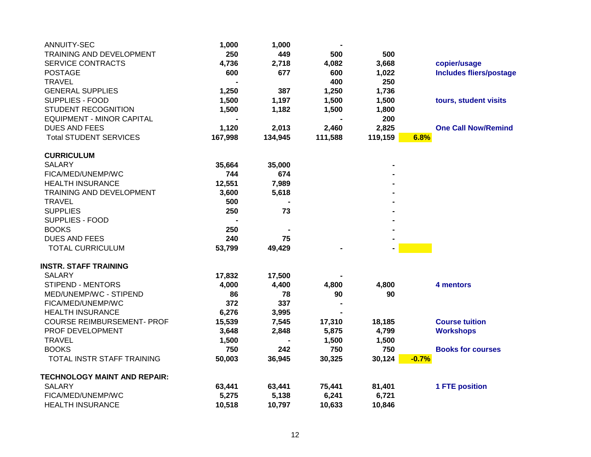| ANNUITY-SEC                         | 1,000   | 1,000   |         |         |                                |
|-------------------------------------|---------|---------|---------|---------|--------------------------------|
| TRAINING AND DEVELOPMENT            | 250     | 449     | 500     | 500     |                                |
| <b>SERVICE CONTRACTS</b>            | 4,736   | 2,718   | 4,082   | 3,668   | copier/usage                   |
| <b>POSTAGE</b>                      | 600     | 677     | 600     | 1,022   | <b>Includes fliers/postage</b> |
| <b>TRAVEL</b>                       |         |         | 400     | 250     |                                |
| <b>GENERAL SUPPLIES</b>             | 1,250   | 387     | 1,250   | 1,736   |                                |
| SUPPLIES - FOOD                     | 1,500   | 1,197   | 1,500   | 1,500   | tours, student visits          |
| STUDENT RECOGNITION                 | 1,500   | 1,182   | 1,500   | 1,800   |                                |
| <b>EQUIPMENT - MINOR CAPITAL</b>    |         |         |         | 200     |                                |
| <b>DUES AND FEES</b>                | 1,120   | 2,013   | 2,460   | 2,825   | <b>One Call Now/Remind</b>     |
| <b>Total STUDENT SERVICES</b>       | 167,998 | 134,945 | 111,588 | 119,159 | 6.8%                           |
| <b>CURRICULUM</b>                   |         |         |         |         |                                |
| <b>SALARY</b>                       | 35,664  | 35,000  |         |         |                                |
| FICA/MED/UNEMP/WC                   | 744     | 674     |         |         |                                |
| <b>HEALTH INSURANCE</b>             | 12,551  | 7,989   |         |         |                                |
| TRAINING AND DEVELOPMENT            | 3,600   | 5,618   |         |         |                                |
| <b>TRAVEL</b>                       | 500     |         |         |         |                                |
| <b>SUPPLIES</b>                     | 250     | 73      |         |         |                                |
| <b>SUPPLIES - FOOD</b>              |         |         |         |         |                                |
| <b>BOOKS</b>                        | 250     |         |         |         |                                |
| <b>DUES AND FEES</b>                | 240     | 75      |         |         |                                |
| <b>TOTAL CURRICULUM</b>             | 53,799  | 49,429  |         |         |                                |
| <b>INSTR. STAFF TRAINING</b>        |         |         |         |         |                                |
| <b>SALARY</b>                       | 17,832  | 17,500  |         |         |                                |
| <b>STIPEND - MENTORS</b>            | 4,000   | 4,400   | 4,800   | 4,800   | 4 mentors                      |
| MED/UNEMP/WC - STIPEND              | 86      | 78      | 90      | 90      |                                |
| FICA/MED/UNEMP/WC                   | 372     | 337     |         |         |                                |
| <b>HEALTH INSURANCE</b>             | 6,276   | 3,995   |         |         |                                |
| <b>COURSE REIMBURSEMENT- PROF</b>   | 15,539  | 7,545   | 17,310  | 18,185  | <b>Course tuition</b>          |
| PROF DEVELOPMENT                    | 3,648   | 2,848   | 5,875   | 4,799   | <b>Workshops</b>               |
| <b>TRAVEL</b>                       | 1,500   |         | 1,500   | 1,500   |                                |
| <b>BOOKS</b>                        | 750     | 242     | 750     | 750     | <b>Books for courses</b>       |
| TOTAL INSTR STAFF TRAINING          | 50,003  | 36,945  | 30,325  | 30,124  | $-0.7%$                        |
| <b>TECHNOLOGY MAINT AND REPAIR:</b> |         |         |         |         |                                |
| <b>SALARY</b>                       | 63,441  | 63,441  | 75,441  | 81,401  | <b>1 FTE position</b>          |
| FICA/MED/UNEMP/WC                   | 5,275   | 5,138   | 6,241   | 6,721   |                                |
| <b>HEALTH INSURANCE</b>             | 10,518  | 10,797  | 10,633  | 10,846  |                                |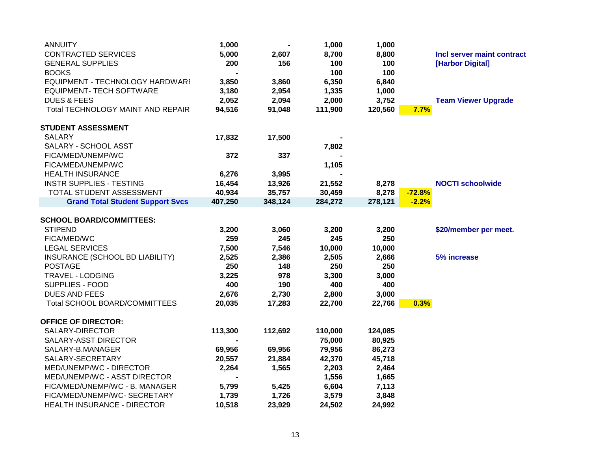| <b>ANNUITY</b>                          | 1,000   |         | 1,000   | 1,000   |                            |
|-----------------------------------------|---------|---------|---------|---------|----------------------------|
| <b>CONTRACTED SERVICES</b>              | 5,000   | 2,607   | 8,700   | 8,800   | Incl server maint contract |
| <b>GENERAL SUPPLIES</b>                 | 200     | 156     | 100     | 100     | [Harbor Digital]           |
| <b>BOOKS</b>                            |         |         | 100     | 100     |                            |
| EQUIPMENT - TECHNOLOGY HARDWARI         | 3,850   | 3,860   | 6,350   | 6,840   |                            |
| EQUIPMENT- TECH SOFTWARE                | 3,180   | 2,954   | 1,335   | 1,000   |                            |
| <b>DUES &amp; FEES</b>                  | 2,052   | 2,094   | 2,000   | 3,752   | <b>Team Viewer Upgrade</b> |
| Total TECHNOLOGY MAINT AND REPAIR       | 94,516  | 91,048  | 111,900 | 120,560 | 7.7%                       |
| <b>STUDENT ASSESSMENT</b>               |         |         |         |         |                            |
| <b>SALARY</b>                           | 17,832  | 17,500  |         |         |                            |
| SALARY - SCHOOL ASST                    |         |         | 7,802   |         |                            |
| FICA/MED/UNEMP/WC                       | 372     | 337     |         |         |                            |
| FICA/MED/UNEMP/WC                       |         |         | 1,105   |         |                            |
| <b>HEALTH INSURANCE</b>                 | 6,276   | 3,995   |         |         |                            |
| <b>INSTR SUPPLIES - TESTING</b>         | 16,454  | 13,926  | 21,552  | 8,278   | <b>NOCTI schoolwide</b>    |
| TOTAL STUDENT ASSESSMENT                | 40,934  | 35,757  | 30,459  | 8,278   | $-72.8%$                   |
| <b>Grand Total Student Support Svcs</b> | 407,250 | 348,124 | 284,272 | 278,121 | $-2.2%$                    |
| <b>SCHOOL BOARD/COMMITTEES:</b>         |         |         |         |         |                            |
| <b>STIPEND</b>                          | 3,200   | 3,060   | 3,200   | 3,200   | \$20/member per meet.      |
| FICA/MED/WC                             | 259     | 245     | 245     | 250     |                            |
| <b>LEGAL SERVICES</b>                   | 7,500   | 7,546   | 10,000  | 10,000  |                            |
| INSURANCE (SCHOOL BD LIABILITY)         | 2,525   | 2,386   | 2,505   | 2,666   | 5% increase                |
| <b>POSTAGE</b>                          | 250     | 148     | 250     | 250     |                            |
| <b>TRAVEL - LODGING</b>                 | 3,225   | 978     | 3,300   | 3,000   |                            |
| SUPPLIES - FOOD                         | 400     | 190     | 400     | 400     |                            |
| DUES AND FEES                           | 2,676   | 2,730   | 2,800   | 3,000   |                            |
| Total SCHOOL BOARD/COMMITTEES           | 20,035  | 17,283  | 22,700  | 22,766  | 0.3%                       |
| <b>OFFICE OF DIRECTOR:</b>              |         |         |         |         |                            |
| SALARY-DIRECTOR                         | 113,300 | 112,692 | 110,000 | 124,085 |                            |
| SALARY-ASST DIRECTOR                    |         |         | 75,000  | 80,925  |                            |
| SALARY-B.MANAGER                        | 69,956  | 69,956  | 79,956  | 86,273  |                            |
| SALARY-SECRETARY                        | 20,557  | 21,884  | 42,370  | 45,718  |                            |
| MED/UNEMP/WC - DIRECTOR                 | 2,264   | 1,565   | 2,203   | 2,464   |                            |
| MED/UNEMP/WC - ASST DIRECTOR            |         |         | 1,556   | 1,665   |                            |
| FICA/MED/UNEMP/WC - B. MANAGER          | 5,799   | 5,425   | 6,604   | 7,113   |                            |
| FICA/MED/UNEMP/WC- SECRETARY            | 1,739   | 1,726   | 3,579   | 3,848   |                            |
| HEALTH INSURANCE - DIRECTOR             | 10,518  | 23,929  | 24,502  | 24,992  |                            |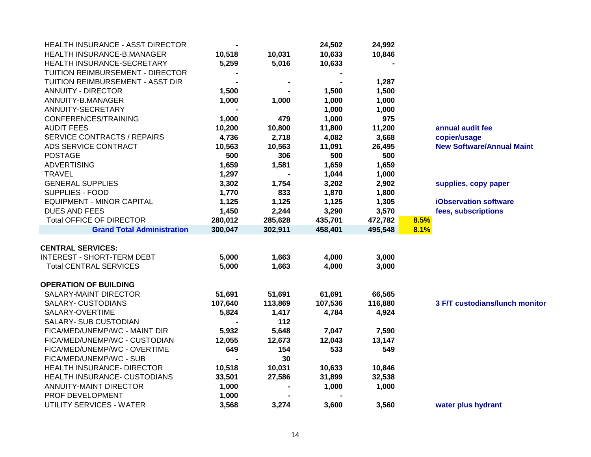| HEALTH INSURANCE - ASST DIRECTOR   |         |                | 24,502  | 24,992  |                                  |
|------------------------------------|---------|----------------|---------|---------|----------------------------------|
| HEALTH INSURANCE-B.MANAGER         | 10,518  | 10,031         | 10,633  | 10,846  |                                  |
| HEALTH INSURANCE-SECRETARY         | 5,259   | 5,016          | 10,633  |         |                                  |
| TUITION REIMBURSEMENT - DIRECTOR   |         |                |         |         |                                  |
| TUITION REIMBURSEMENT - ASST DIR   |         | $\blacksquare$ |         | 1,287   |                                  |
| <b>ANNUITY - DIRECTOR</b>          | 1,500   |                | 1,500   | 1,500   |                                  |
| ANNUITY-B.MANAGER                  | 1,000   | 1,000          | 1,000   | 1,000   |                                  |
| ANNUITY-SECRETARY                  |         |                | 1,000   | 1,000   |                                  |
| CONFERENCES/TRAINING               | 1,000   | 479            | 1,000   | 975     |                                  |
| <b>AUDIT FEES</b>                  | 10,200  | 10,800         | 11,800  | 11,200  | annual audit fee                 |
| <b>SERVICE CONTRACTS / REPAIRS</b> | 4,736   | 2,718          | 4,082   | 3,668   | copier/usage                     |
| ADS SERVICE CONTRACT               | 10,563  | 10,563         | 11,091  | 26,495  | <b>New Software/Annual Maint</b> |
| <b>POSTAGE</b>                     | 500     | 306            | 500     | 500     |                                  |
| <b>ADVERTISING</b>                 | 1,659   | 1,581          | 1,659   | 1,659   |                                  |
| <b>TRAVEL</b>                      | 1,297   |                | 1,044   | 1,000   |                                  |
| <b>GENERAL SUPPLIES</b>            | 3,302   | 1,754          | 3,202   | 2,902   | supplies, copy paper             |
| SUPPLIES - FOOD                    | 1,770   | 833            | 1,870   | 1,800   |                                  |
| <b>EQUIPMENT - MINOR CAPITAL</b>   | 1,125   | 1,125          | 1,125   | 1,305   | <b>iObservation software</b>     |
| <b>DUES AND FEES</b>               | 1,450   | 2,244          | 3,290   | 3,570   | fees, subscriptions              |
| <b>Total OFFICE OF DIRECTOR</b>    | 280,012 | 285,628        | 435,701 | 472,782 | 8.5%                             |
| <b>Grand Total Administration</b>  | 300,047 | 302,911        | 458,401 | 495,548 | 8.1%                             |
| <b>CENTRAL SERVICES:</b>           |         |                |         |         |                                  |
| <b>INTEREST - SHORT-TERM DEBT</b>  | 5,000   | 1,663          | 4,000   | 3,000   |                                  |
| <b>Total CENTRAL SERVICES</b>      | 5,000   | 1,663          | 4,000   | 3,000   |                                  |
|                                    |         |                |         |         |                                  |
| <b>OPERATION OF BUILDING</b>       |         |                |         |         |                                  |
| SALARY-MAINT DIRECTOR              | 51,691  | 51,691         | 61,691  | 66,565  |                                  |
| SALARY- CUSTODIANS                 | 107,640 | 113,869        | 107,536 | 116,880 | 3 F/T custodians/lunch monitor   |
| SALARY-OVERTIME                    | 5,824   | 1,417          | 4,784   | 4,924   |                                  |
| SALARY- SUB CUSTODIAN              |         | 112            |         |         |                                  |
| FICA/MED/UNEMP/WC - MAINT DIR      | 5,932   | 5,648          | 7,047   | 7,590   |                                  |
| FICA/MED/UNEMP/WC - CUSTODIAN      | 12,055  | 12,673         | 12,043  | 13,147  |                                  |
| FICA/MED/UNEMP/WC - OVERTIME       | 649     | 154            | 533     | 549     |                                  |
| FICA/MED/UNEMP/WC - SUB            |         | 30             |         |         |                                  |
| <b>HEALTH INSURANCE- DIRECTOR</b>  | 10,518  | 10,031         | 10,633  | 10,846  |                                  |
| HEALTH INSURANCE- CUSTODIANS       | 33,501  | 27,586         | 31,899  | 32,538  |                                  |
| ANNUITY-MAINT DIRECTOR             | 1,000   |                | 1,000   | 1,000   |                                  |
| PROF DEVELOPMENT                   | 1,000   |                |         |         |                                  |
| UTILITY SERVICES - WATER           | 3,568   | 3,274          | 3,600   | 3,560   | water plus hydrant               |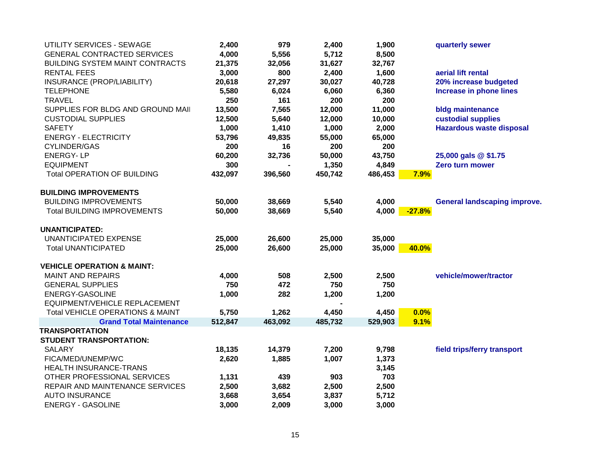| UTILITY SERVICES - SEWAGE              | 2,400   | 979     | 2,400   | 1,900   |          | quarterly sewer                     |
|----------------------------------------|---------|---------|---------|---------|----------|-------------------------------------|
| <b>GENERAL CONTRACTED SERVICES</b>     | 4,000   | 5,556   | 5,712   | 8,500   |          |                                     |
| <b>BUILDING SYSTEM MAINT CONTRACTS</b> | 21,375  | 32,056  | 31,627  | 32,767  |          |                                     |
| <b>RENTAL FEES</b>                     | 3,000   | 800     | 2,400   | 1,600   |          | aerial lift rental                  |
| INSURANCE (PROP/LIABILITY)             | 20,618  | 27,297  | 30,027  | 40,728  |          | 20% increase budgeted               |
| <b>TELEPHONE</b>                       | 5,580   | 6,024   | 6,060   | 6,360   |          | <b>Increase in phone lines</b>      |
| <b>TRAVEL</b>                          | 250     | 161     | 200     | 200     |          |                                     |
| SUPPLIES FOR BLDG AND GROUND MAIL      | 13,500  | 7,565   | 12,000  | 11,000  |          | bldg maintenance                    |
| <b>CUSTODIAL SUPPLIES</b>              | 12,500  | 5,640   | 12,000  | 10,000  |          | custodial supplies                  |
| <b>SAFETY</b>                          | 1,000   | 1,410   | 1,000   | 2,000   |          | <b>Hazardous waste disposal</b>     |
| <b>ENERGY - ELECTRICITY</b>            | 53,796  | 49,835  | 55,000  | 65,000  |          |                                     |
| <b>CYLINDER/GAS</b>                    | 200     | 16      | 200     | 200     |          |                                     |
| <b>ENERGY-LP</b>                       | 60,200  | 32,736  | 50,000  | 43,750  |          | 25,000 gals @ \$1.75                |
| <b>EQUIPMENT</b>                       | 300     |         | 1,350   | 4,849   |          | Zero turn mower                     |
| <b>Total OPERATION OF BUILDING</b>     | 432,097 | 396,560 | 450,742 | 486,453 | 7.9%     |                                     |
| <b>BUILDING IMPROVEMENTS</b>           |         |         |         |         |          |                                     |
| <b>BUILDING IMPROVEMENTS</b>           | 50,000  | 38,669  | 5,540   | 4,000   |          | <b>General landscaping improve.</b> |
| <b>Total BUILDING IMPROVEMENTS</b>     | 50,000  | 38,669  | 5,540   | 4,000   | $-27.8%$ |                                     |
| <b>UNANTICIPATED:</b>                  |         |         |         |         |          |                                     |
| <b>UNANTICIPATED EXPENSE</b>           | 25,000  | 26,600  | 25,000  | 35,000  |          |                                     |
| <b>Total UNANTICIPATED</b>             | 25,000  | 26,600  | 25,000  | 35,000  | 40.0%    |                                     |
| <b>VEHICLE OPERATION &amp; MAINT:</b>  |         |         |         |         |          |                                     |
| <b>MAINT AND REPAIRS</b>               | 4,000   | 508     | 2,500   | 2,500   |          | vehicle/mower/tractor               |
| <b>GENERAL SUPPLIES</b>                | 750     | 472     | 750     | 750     |          |                                     |
| <b>ENERGY-GASOLINE</b>                 | 1,000   | 282     | 1,200   | 1,200   |          |                                     |
| EQUIPMENT/VEHICLE REPLACEMENT          |         |         |         |         |          |                                     |
| Total VEHICLE OPERATIONS & MAINT       | 5,750   | 1,262   | 4,450   | 4,450   | 0.0%     |                                     |
| <b>Grand Total Maintenance</b>         | 512,847 | 463,092 | 485,732 | 529,903 | 9.1%     |                                     |
| <b>TRANSPORTATION</b>                  |         |         |         |         |          |                                     |
| <b>STUDENT TRANSPORTATION:</b>         |         |         |         |         |          |                                     |
| <b>SALARY</b>                          | 18,135  | 14,379  | 7,200   | 9,798   |          | field trips/ferry transport         |
| FICA/MED/UNEMP/WC                      | 2,620   | 1,885   | 1,007   | 1,373   |          |                                     |
| HEALTH INSURANCE-TRANS                 |         |         |         | 3,145   |          |                                     |
| OTHER PROFESSIONAL SERVICES            | 1,131   | 439     | 903     | 703     |          |                                     |
| REPAIR AND MAINTENANCE SERVICES        | 2,500   | 3,682   | 2,500   | 2,500   |          |                                     |
| <b>AUTO INSURANCE</b>                  | 3,668   | 3,654   | 3,837   | 5,712   |          |                                     |
| <b>ENERGY - GASOLINE</b>               | 3,000   | 2,009   | 3,000   | 3,000   |          |                                     |